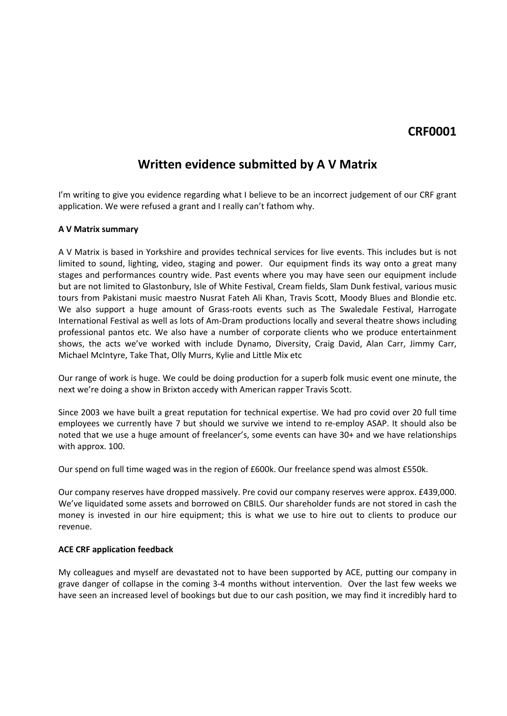## **CRF0001**

# **Written evidence submitted by A V Matrix**

I'm writing to give you evidence regarding what I believe to be an incorrect judgement of our CRF grant application. We were refused a grant and I really can't fathom why.

### **A V Matrix summary**

A V Matrix is based in Yorkshire and provides technical services for live events. This includes but is not limited to sound, lighting, video, staging and power. Our equipment finds its way onto a great many stages and performances country wide. Past events where you may have seen our equipment include but are not limited to Glastonbury, Isle of White Festival, Cream fields, Slam Dunk festival, various music tours from Pakistani music maestro Nusrat Fateh Ali Khan, Travis Scott, Moody Blues and Blondie etc. We also support a huge amount of Grass-roots events such as The Swaledale Festival, Harrogate International Festival as well as lots of Am-Dram productions locally and several theatre shows including professional pantos etc. We also have a number of corporate clients who we produce entertainment shows, the acts we've worked with include Dynamo, Diversity, Craig David, Alan Carr, Jimmy Carr, Michael McIntyre, Take That, Olly Murrs, Kylie and Little Mix etc

Our range of work is huge. We could be doing production for a superb folk music event one minute, the next we're doing a show in Brixton accedy with American rapper Travis Scott.

Since 2003 we have built a great reputation for technical expertise. We had pro covid over 20 full time employees we currently have 7 but should we survive we intend to re-employ ASAP. It should also be noted that we use a huge amount of freelancer's, some events can have 30+ and we have relationships with approx. 100.

Our spend on full time waged was in the region of £600k. Our freelance spend was almost £550k.

Our company reserves have dropped massively. Pre covid our company reserves were approx. £439,000. We've liquidated some assets and borrowed on CBILS. Our shareholder funds are not stored in cash the money is invested in our hire equipment; this is what we use to hire out to clients to produce our revenue.

### **ACE CRF application feedback**

My colleagues and myself are devastated not to have been supported by ACE, putting our company in grave danger of collapse in the coming 3-4 months without intervention. Over the last few weeks we have seen an increased level of bookings but due to our cash position, we may find it incredibly hard to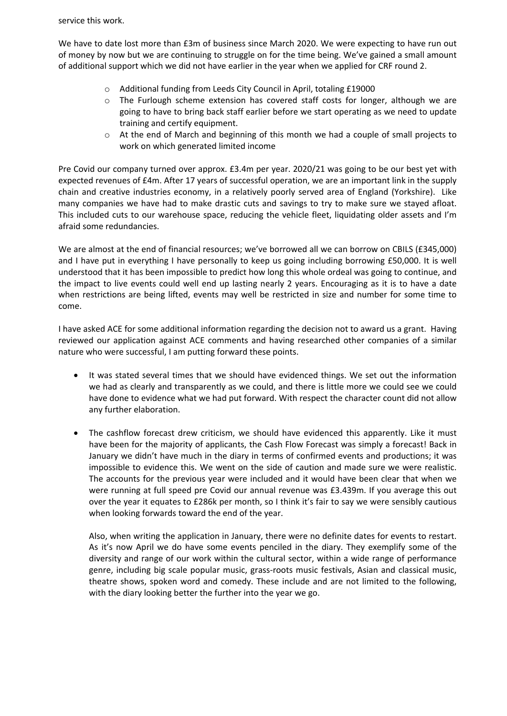service this work.

We have to date lost more than £3m of business since March 2020. We were expecting to have run out of money by now but we are continuing to struggle on for the time being. We've gained a small amount of additional support which we did not have earlier in the year when we applied for CRF round 2.

- o Additional funding from Leeds City Council in April, totaling £19000
- o The Furlough scheme extension has covered staff costs for longer, although we are going to have to bring back staff earlier before we start operating as we need to update training and certify equipment.
- o At the end of March and beginning of this month we had a couple of small projects to work on which generated limited income

Pre Covid our company turned over approx. £3.4m per year. 2020/21 was going to be our best yet with expected revenues of £4m. After 17 years of successful operation, we are an important link in the supply chain and creative industries economy, in a relatively poorly served area of England (Yorkshire). Like many companies we have had to make drastic cuts and savings to try to make sure we stayed afloat. This included cuts to our warehouse space, reducing the vehicle fleet, liquidating older assets and I'm afraid some redundancies.

We are almost at the end of financial resources; we've borrowed all we can borrow on CBILS (£345,000) and I have put in everything I have personally to keep us going including borrowing £50,000. It is well understood that it has been impossible to predict how long this whole ordeal was going to continue, and the impact to live events could well end up lasting nearly 2 years. Encouraging as it is to have a date when restrictions are being lifted, events may well be restricted in size and number for some time to come.

I have asked ACE for some additional information regarding the decision not to award us a grant. Having reviewed our application against ACE comments and having researched other companies of a similar nature who were successful, I am putting forward these points.

- It was stated several times that we should have evidenced things. We set out the information we had as clearly and transparently as we could, and there is little more we could see we could have done to evidence what we had put forward. With respect the character count did not allow any further elaboration.
- The cashflow forecast drew criticism, we should have evidenced this apparently. Like it must have been for the majority of applicants, the Cash Flow Forecast was simply a forecast! Back in January we didn't have much in the diary in terms of confirmed events and productions; it was impossible to evidence this. We went on the side of caution and made sure we were realistic. The accounts for the previous year were included and it would have been clear that when we were running at full speed pre Covid our annual revenue was £3.439m. If you average this out over the year it equates to £286k per month, so I think it's fair to say we were sensibly cautious when looking forwards toward the end of the year.

Also, when writing the application in January, there were no definite dates for events to restart. As it's now April we do have some events penciled in the diary. They exemplify some of the diversity and range of our work within the cultural sector, within a wide range of performance genre, including big scale popular music, grass-roots music festivals, Asian and classical music, theatre shows, spoken word and comedy. These include and are not limited to the following, with the diary looking better the further into the year we go.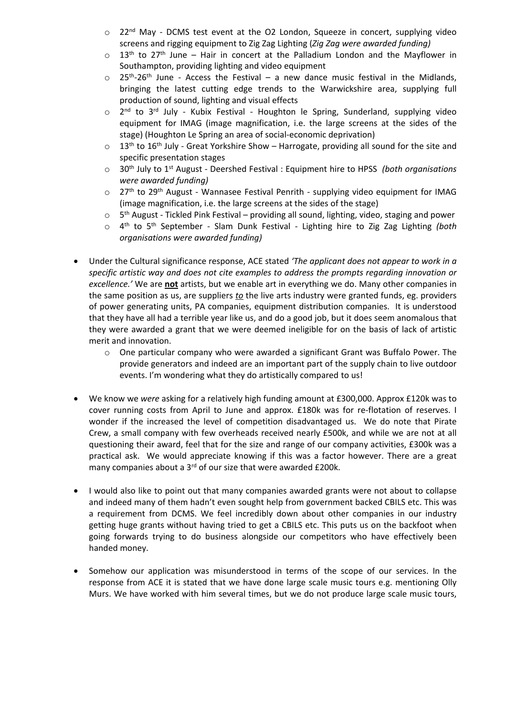- o 22<sup>nd</sup> May DCMS test event at the O2 London, Squeeze in concert, supplying video screens and rigging equipment to Zig Zag Lighting (*Zig Zag were awarded funding)*
- $\circ$  13<sup>th</sup> to 27<sup>th</sup> June Hair in concert at the Palladium London and the Mayflower in Southampton, providing lighting and video equipment
- $\circ$  25<sup>th</sup>-26<sup>th</sup> June Access the Festival a new dance music festival in the Midlands, bringing the latest cutting edge trends to the Warwickshire area, supplying full production of sound, lighting and visual effects
- $\circ$ nd to 3<sup>rd</sup> July - Kubix Festival - Houghton le Spring, Sunderland, supplying video equipment for IMAG (image magnification, i.e. the large screens at the sides of the stage) (Houghton Le Spring an area of social-economic deprivation)
- $\circ$  13<sup>th</sup> to 16<sup>th</sup> July Great Yorkshire Show Harrogate, providing all sound for the site and specific presentation stages
- o 30th July to 1 st August Deershed Festival : Equipment hire to HPSS *(both organisations were awarded funding)*
- $\circ$  27<sup>th</sup> to 29<sup>th</sup> August Wannasee Festival Penrith supplying video equipment for IMAG (image magnification, i.e. the large screens at the sides of the stage)
- $\circ$ 5<sup>th</sup> August - Tickled Pink Festival – providing all sound, lighting, video, staging and power
- o 4 th to 5 th September Slam Dunk Festival Lighting hire to Zig Zag Lighting *(both organisations were awarded funding)*
- Under the Cultural significance response, ACE stated *'The applicant does not appear to work in a specific artistic way and does not cite examples to address the prompts regarding innovation or excellence.'* We are **not** artists, but we enable art in everything we do. Many other companies in the same position as us, are suppliers *to* the live arts industry were granted funds, eg. providers of power generating units, PA companies, equipment distribution companies. It is understood that they have all had a terrible year like us, and do a good job, but it does seem anomalous that they were awarded a grant that we were deemed ineligible for on the basis of lack of artistic merit and innovation.
	- $\circ$  One particular company who were awarded a significant Grant was Buffalo Power. The provide generators and indeed are an important part of the supply chain to live outdoor events. I'm wondering what they do artistically compared to us!
- We know we *were* asking for a relatively high funding amount at £300,000. Approx £120k was to cover running costs from April to June and approx. £180k was for re-flotation of reserves. I wonder if the increased the level of competition disadvantaged us. We do note that Pirate Crew, a small company with few overheads received nearly £500k, and while we are not at all questioning their award, feel that for the size and range of our company activities, £300k was a practical ask. We would appreciate knowing if this was a factor however. There are a great many companies about a 3<sup>rd</sup> of our size that were awarded £200k.
- I would also like to point out that many companies awarded grants were not about to collapse and indeed many of them hadn't even sought help from government backed CBILS etc. This was a requirement from DCMS. We feel incredibly down about other companies in our industry getting huge grants without having tried to get a CBILS etc. This puts us on the backfoot when going forwards trying to do business alongside our competitors who have effectively been handed money.
- Somehow our application was misunderstood in terms of the scope of our services. In the response from ACE it is stated that we have done large scale music tours e.g. mentioning Olly Murs. We have worked with him several times, but we do not produce large scale music tours,